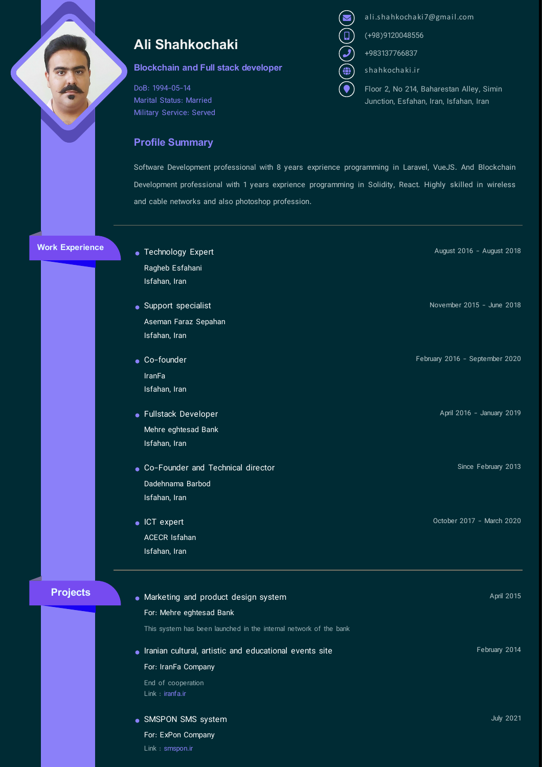## Ali Shahkochaki

## Blockchain and Full stack developer

DoB: 1994-05-14 Marital Status: Married Military Service: Served

## Profile Summary

Link : [smspon.ir](http://smspon.ir/)

- ali.shahkochaki7@gmail.com<br>(1) (+98)9120048556<br>(2) +983137766837<br>(1) shahkochaki.ir
	- (+98)9120048556
	- +983137766837
	- shahkochaki.ir
		- Floor 2, No 214, Baharestan Alley, Simin Junction, Esfahan, Iran, Isfahan, Iran

Software Development professional with 8 years exprience programming in Laravel, VueJS. And Blockchain Development professional with 1 years exprience programming in Solidity, React. Highly skilled in wireless and cable networks and also photoshop profession.

Work Experience

Projects

| • Technology Expert                                               | August 2016 - August 2018      |
|-------------------------------------------------------------------|--------------------------------|
| Ragheb Esfahani                                                   |                                |
| Isfahan, Iran                                                     |                                |
| • Support specialist                                              | November 2015 - June 2018      |
| Aseman Faraz Sepahan                                              |                                |
| Isfahan, Iran                                                     |                                |
| • Co-founder                                                      | February 2016 - September 2020 |
| <b>IranFa</b>                                                     |                                |
| Isfahan, Iran                                                     |                                |
| • Fullstack Developer                                             | April 2016 - January 2019      |
| Mehre eghtesad Bank                                               |                                |
| Isfahan, Iran                                                     |                                |
| • Co-Founder and Technical director                               | Since February 2013            |
| Dadehnama Barbod                                                  |                                |
| Isfahan, Iran                                                     |                                |
| $\bullet$ ICT expert                                              | October 2017 - March 2020      |
| <b>ACECR Isfahan</b>                                              |                                |
| Isfahan, Iran                                                     |                                |
| • Marketing and product design system                             | April 2015                     |
| For: Mehre eghtesad Bank                                          |                                |
| This system has been launched in the internal network of the bank |                                |
| · Iranian cultural, artistic and educational events site          | February 2014                  |
| For: IranFa Company                                               |                                |
| End of cooperation                                                |                                |
| Link : iranfa.ir                                                  |                                |
| · SMSPON SMS system                                               | <b>July 2021</b>               |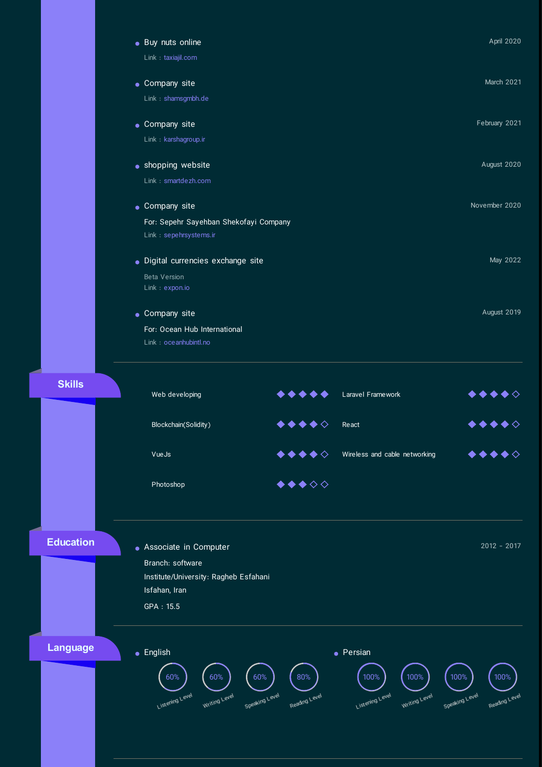